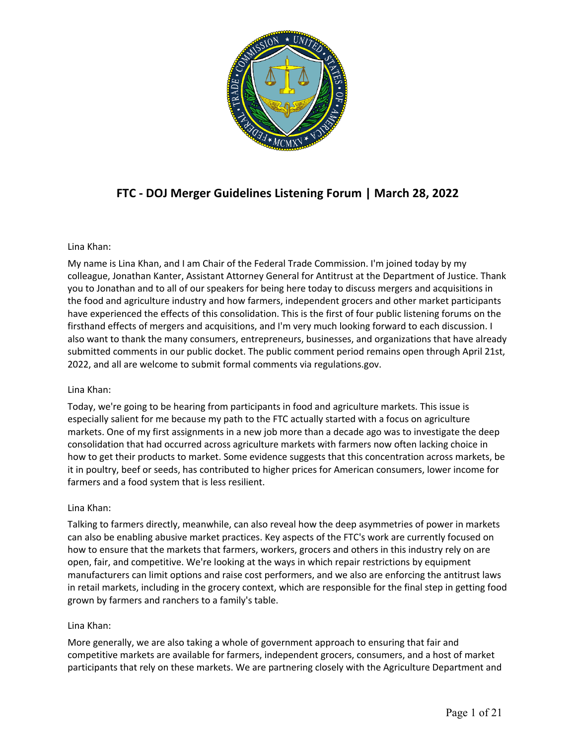

# **FTC - DOJ Merger Guidelines Listening Forum | March 28, 2022**

# Lina Khan:

 My name is Lina Khan, and I am Chair of the Federal Trade Commission. I'm joined today by my colleague, Jonathan Kanter, Assistant Attorney General for Antitrust at the Department of Justice. Thank you to Jonathan and to all of our speakers for being here today to discuss mergers and acquisitions in the food and agriculture industry and how farmers, independent grocers and other market participants also want to thank the many consumers, entrepreneurs, businesses, and organizations that have already submitted comments in our public docket. The public comment period remains open through April 21st, 2022, and all are welcome to submit formal comments via [regulations.gov.](https://regulations.gov) have experienced the effects of this consolidation. This is the first of four public listening forums on the firsthand effects of mergers and acquisitions, and I'm very much looking forward to each discussion. I

# Lina Khan:

 Today, we're going to be hearing from participants in food and agriculture markets. This issue is especially salient for me because my path to the FTC actually started with a focus on agriculture markets. One of my first assignments in a new job more than a decade ago was to investigate the deep how to get their products to market. Some evidence suggests that this concentration across markets, be consolidation that had occurred across agriculture markets with farmers now often lacking choice in it in poultry, beef or seeds, has contributed to higher prices for American consumers, lower income for farmers and a food system that is less resilient.

# Lina Khan:

 Talking to farmers directly, meanwhile, can also reveal how the deep asymmetries of power in markets can also be enabling abusive market practices. Key aspects of the FTC's work are currently focused on how to ensure that the markets that farmers, workers, grocers and others in this industry rely on are open, fair, and competitive. We're looking at the ways in which repair restrictions by equipment manufacturers can limit options and raise cost performers, and we also are enforcing the antitrust laws grown by farmers and ranchers to a family's table. in retail markets, including in the grocery context, which are responsible for the final step in getting food

# Lina Khan:

 More generally, we are also taking a whole of government approach to ensuring that fair and competitive markets are available for farmers, independent grocers, consumers, and a host of market participants that rely on these markets. We are partnering closely with the Agriculture Department and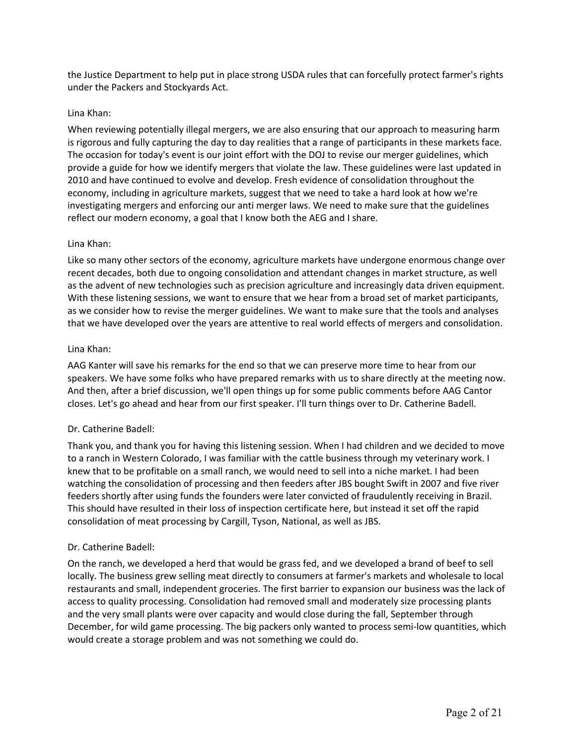the Justice Department to help put in place strong USDA rules that can forcefully protect farmer's rights under the Packers and Stockyards Act.

#### Lina Khan:

 When reviewing potentially illegal mergers, we are also ensuring that our approach to measuring harm provide a guide for how we identify mergers that violate the law. These guidelines were last updated in 2010 and have continued to evolve and develop. Fresh evidence of consolidation throughout the economy, including in agriculture markets, suggest that we need to take a hard look at how we're reflect our modern economy, a goal that I know both the AEG and I share. is rigorous and fully capturing the day to day realities that a range of participants in these markets face. The occasion for today's event is our joint effort with the DOJ to revise our merger guidelines, which investigating mergers and enforcing our anti merger laws. We need to make sure that the guidelines

#### Lina Khan:

 as the advent of new technologies such as precision agriculture and increasingly data driven equipment. With these listening sessions, we want to ensure that we hear from a broad set of market participants, as we consider how to revise the merger guidelines. We want to make sure that the tools and analyses that we have developed over the years are attentive to real world effects of mergers and consolidation. Like so many other sectors of the economy, agriculture markets have undergone enormous change over recent decades, both due to ongoing consolidation and attendant changes in market structure, as well

#### Lina Khan:

 AAG Kanter will save his remarks for the end so that we can preserve more time to hear from our speakers. We have some folks who have prepared remarks with us to share directly at the meeting now. And then, after a brief discussion, we'll open things up for some public comments before AAG Cantor closes. Let's go ahead and hear from our first speaker. I'll turn things over to Dr. Catherine Badell.

# Dr. Catherine Badell:

 Thank you, and thank you for having this listening session. When I had children and we decided to move to a ranch in Western Colorado, I was familiar with the cattle business through my veterinary work. I knew that to be profitable on a small ranch, we would need to sell into a niche market. I had been watching the consolidation of processing and then feeders after JBS bought Swift in 2007 and five river This should have resulted in their loss of inspection certificate here, but instead it set off the rapid feeders shortly after using funds the founders were later convicted of fraudulently receiving in Brazil. consolidation of meat processing by Cargill, Tyson, National, as well as JBS.

#### Dr. Catherine Badell:

 On the ranch, we developed a herd that would be grass fed, and we developed a brand of beef to sell restaurants and small, independent groceries. The first barrier to expansion our business was the lack of and the very small plants were over capacity and would close during the fall, September through December, for wild game processing. The big packers only wanted to process semi-low quantities, which would create a storage problem and was not something we could do. locally. The business grew selling meat directly to consumers at farmer's markets and wholesale to local access to quality processing. Consolidation had removed small and moderately size processing plants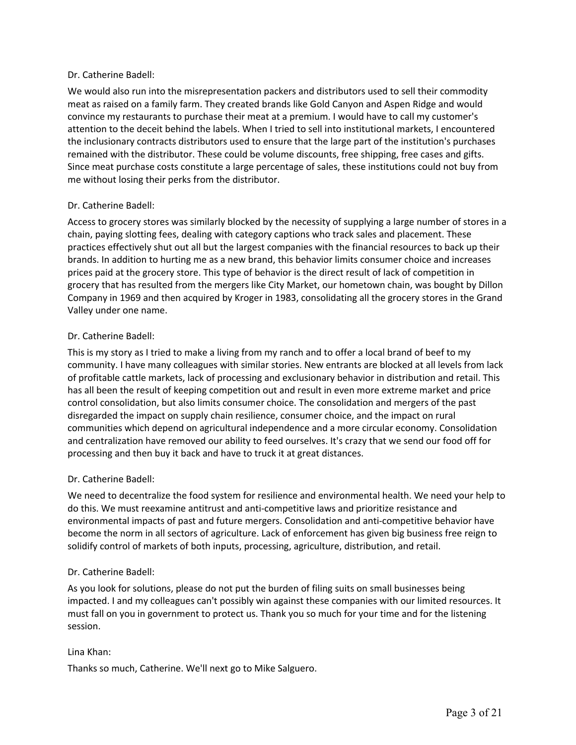# Dr. Catherine Badell:

 We would also run into the misrepresentation packers and distributors used to sell their commodity meat as raised on a family farm. They created brands like Gold Canyon and Aspen Ridge and would convince my restaurants to purchase their meat at a premium. I would have to call my customer's attention to the deceit behind the labels. When I tried to sell into institutional markets, I encountered the inclusionary contracts distributors used to ensure that the large part of the institution's purchases remained with the distributor. These could be volume discounts, free shipping, free cases and gifts. Since meat purchase costs constitute a large percentage of sales, these institutions could not buy from me without losing their perks from the distributor.

# Dr. Catherine Badell:

 Access to grocery stores was similarly blocked by the necessity of supplying a large number of stores in a chain, paying slotting fees, dealing with category captions who track sales and placement. These practices effectively shut out all but the largest companies with the financial resources to back up their brands. In addition to hurting me as a new brand, this behavior limits consumer choice and increases prices paid at the grocery store. This type of behavior is the direct result of lack of competition in grocery that has resulted from the mergers like City Market, our hometown chain, was bought by Dillon Company in 1969 and then acquired by Kroger in 1983, consolidating all the grocery stores in the Grand Valley under one name.

# Dr. Catherine Badell:

 This is my story as I tried to make a living from my ranch and to offer a local brand of beef to my community. I have many colleagues with similar stories. New entrants are blocked at all levels from lack of profitable cattle markets, lack of processing and exclusionary behavior in distribution and retail. This has all been the result of keeping competition out and result in even more extreme market and price control consolidation, but also limits consumer choice. The consolidation and mergers of the past communities which depend on agricultural independence and a more circular economy. Consolidation processing and then buy it back and have to truck it at great distances. disregarded the impact on supply chain resilience, consumer choice, and the impact on rural and centralization have removed our ability to feed ourselves. It's crazy that we send our food off for

# Dr. Catherine Badell:

 We need to decentralize the food system for resilience and environmental health. We need your help to do this. We must reexamine antitrust and anti-competitive laws and prioritize resistance and become the norm in all sectors of agriculture. Lack of enforcement has given big business free reign to solidify control of markets of both inputs, processing, agriculture, distribution, and retail. environmental impacts of past and future mergers. Consolidation and anti-competitive behavior have

# Dr. Catherine Badell:

 As you look for solutions, please do not put the burden of filing suits on small businesses being must fall on you in government to protect us. Thank you so much for your time and for the listening impacted. I and my colleagues can't possibly win against these companies with our limited resources. It session.

# Lina Khan:

Thanks so much, Catherine. We'll next go to Mike Salguero.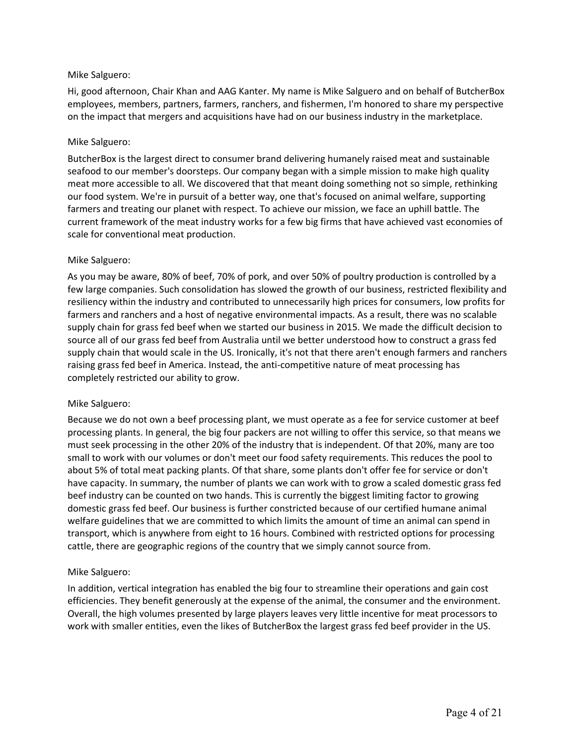# Mike Salguero:

 Hi, good afternoon, Chair Khan and AAG Kanter. My name is Mike Salguero and on behalf of ButcherBox employees, members, partners, farmers, ranchers, and fishermen, I'm honored to share my perspective on the impact that mergers and acquisitions have had on our business industry in the marketplace.

#### Mike Salguero:

 ButcherBox is the largest direct to consumer brand delivering humanely raised meat and sustainable seafood to our member's doorsteps. Our company began with a simple mission to make high quality meat more accessible to all. We discovered that that meant doing something not so simple, rethinking our food system. We're in pursuit of a better way, one that's focused on animal welfare, supporting current framework of the meat industry works for a few big firms that have achieved vast economies of farmers and treating our planet with respect. To achieve our mission, we face an uphill battle. The scale for conventional meat production.

#### Mike Salguero:

 As you may be aware, 80% of beef, 70% of pork, and over 50% of poultry production is controlled by a supply chain for grass fed beef when we started our business in 2015. We made the difficult decision to source all of our grass fed beef from Australia until we better understood how to construct a grass fed raising grass fed beef in America. Instead, the anti-competitive nature of meat processing has few large companies. Such consolidation has slowed the growth of our business, restricted flexibility and resiliency within the industry and contributed to unnecessarily high prices for consumers, low profits for farmers and ranchers and a host of negative environmental impacts. As a result, there was no scalable supply chain that would scale in the US. Ironically, it's not that there aren't enough farmers and ranchers completely restricted our ability to grow.

#### Mike Salguero:

 Because we do not own a beef processing plant, we must operate as a fee for service customer at beef processing plants. In general, the big four packers are not willing to offer this service, so that means we must seek processing in the other 20% of the industry that is independent. Of that 20%, many are too small to work with our volumes or don't meet our food safety requirements. This reduces the pool to about 5% of total meat packing plants. Of that share, some plants don't offer fee for service or don't have capacity. In summary, the number of plants we can work with to grow a scaled domestic grass fed beef industry can be counted on two hands. This is currently the biggest limiting factor to growing domestic grass fed beef. Our business is further constricted because of our certified humane animal welfare guidelines that we are committed to which limits the amount of time an animal can spend in transport, which is anywhere from eight to 16 hours. Combined with restricted options for processing cattle, there are geographic regions of the country that we simply cannot source from.

# Mike Salguero:

 Overall, the high volumes presented by large players leaves very little incentive for meat processors to work with smaller entities, even the likes of ButcherBox the largest grass fed beef provider in the US. In addition, vertical integration has enabled the big four to streamline their operations and gain cost efficiencies. They benefit generously at the expense of the animal, the consumer and the environment.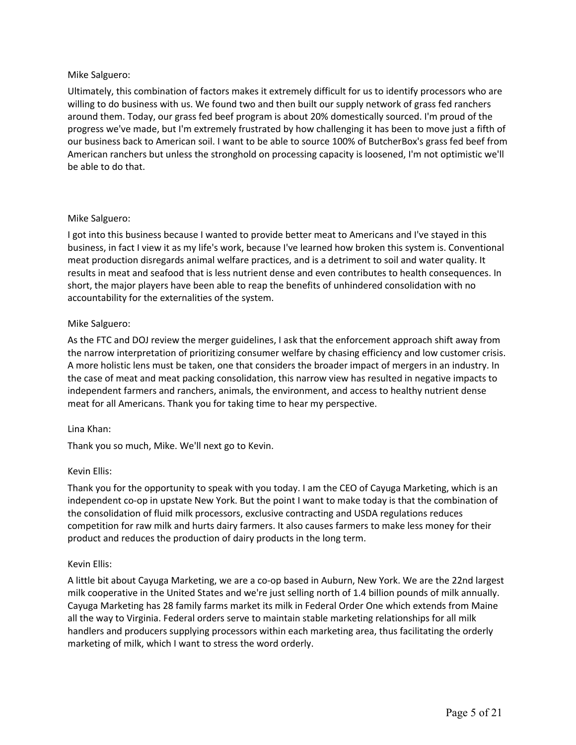# Mike Salguero:

 Ultimately, this combination of factors makes it extremely difficult for us to identify processors who are willing to do business with us. We found two and then built our supply network of grass fed ranchers around them. Today, our grass fed beef program is about 20% domestically sourced. I'm proud of the progress we've made, but I'm extremely frustrated by how challenging it has been to move just a fifth of our business back to American soil. I want to be able to source 100% of ButcherBox's grass fed beef from American ranchers but unless the stronghold on processing capacity is loosened, I'm not optimistic we'll be able to do that.

# Mike Salguero:

 business, in fact I view it as my life's work, because I've learned how broken this system is. Conventional meat production disregards animal welfare practices, and is a detriment to soil and water quality. It short, the major players have been able to reap the benefits of unhindered consolidation with no accountability for the externalities of the system. I got into this business because I wanted to provide better meat to Americans and I've stayed in this results in meat and seafood that is less nutrient dense and even contributes to health consequences. In

# Mike Salguero:

 As the FTC and DOJ review the merger guidelines, I ask that the enforcement approach shift away from the narrow interpretation of prioritizing consumer welfare by chasing efficiency and low customer crisis. A more holistic lens must be taken, one that considers the broader impact of mergers in an industry. In the case of meat and meat packing consolidation, this narrow view has resulted in negative impacts to meat for all Americans. Thank you for taking time to hear my perspective. independent farmers and ranchers, animals, the environment, and access to healthy nutrient dense

#### Lina Khan:

Thank you so much, Mike. We'll next go to Kevin.

# Kevin Ellis:

 Thank you for the opportunity to speak with you today. I am the CEO of Cayuga Marketing, which is an independent co-op in upstate New York. But the point I want to make today is that the combination of the consolidation of fluid milk processors, exclusive contracting and USDA regulations reduces product and reduces the production of dairy products in the long term. competition for raw milk and hurts dairy farmers. It also causes farmers to make less money for their

#### Kevin Ellis:

 A little bit about Cayuga Marketing, we are a co-op based in Auburn, New York. We are the 22nd largest milk cooperative in the United States and we're just selling north of 1.4 billion pounds of milk annually. Cayuga Marketing has 28 family farms market its milk in Federal Order One which extends from Maine all the way to Virginia. Federal orders serve to maintain stable marketing relationships for all milk marketing of milk, which I want to stress the word orderly. handlers and producers supplying processors within each marketing area, thus facilitating the orderly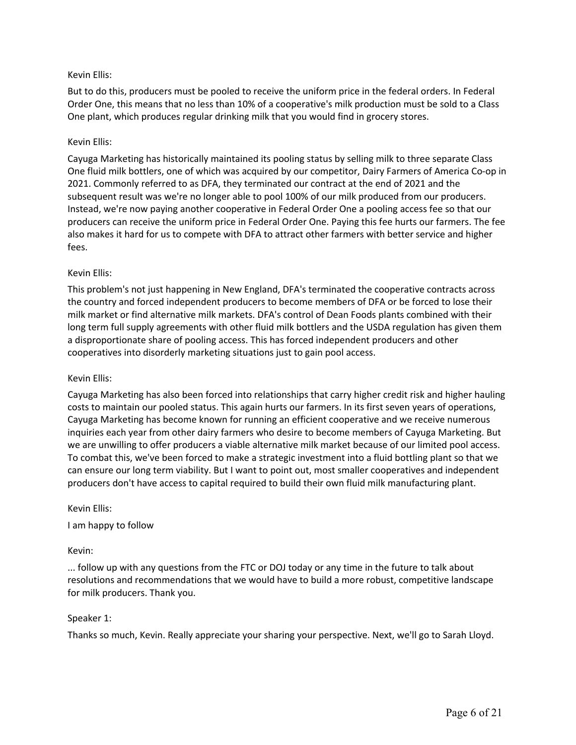# Kevin Ellis:

 But to do this, producers must be pooled to receive the uniform price in the federal orders. In Federal Order One, this means that no less than 10% of a cooperative's milk production must be sold to a Class One plant, which produces regular drinking milk that you would find in grocery stores.

# Kevin Ellis:

 Cayuga Marketing has historically maintained its pooling status by selling milk to three separate Class One fluid milk bottlers, one of which was acquired by our competitor, Dairy Farmers of America Co-op in 2021. Commonly referred to as DFA, they terminated our contract at the end of 2021 and the subsequent result was we're no longer able to pool 100% of our milk produced from our producers. producers can receive the uniform price in Federal Order One. Paying this fee hurts our farmers. The fee also makes it hard for us to compete with DFA to attract other farmers with better service and higher Instead, we're now paying another cooperative in Federal Order One a pooling access fee so that our fees.

#### Kevin Ellis:

 This problem's not just happening in New England, DFA's terminated the cooperative contracts across the country and forced independent producers to become members of DFA or be forced to lose their milk market or find alternative milk markets. DFA's control of Dean Foods plants combined with their a disproportionate share of pooling access. This has forced independent producers and other long term full supply agreements with other fluid milk bottlers and the USDA regulation has given them cooperatives into disorderly marketing situations just to gain pool access.

#### Kevin Ellis:

 Cayuga Marketing has become known for running an efficient cooperative and we receive numerous we are unwilling to offer producers a viable alternative milk market because of our limited pool access. To combat this, we've been forced to make a strategic investment into a fluid bottling plant so that we can ensure our long term viability. But I want to point out, most smaller cooperatives and independent Cayuga Marketing has also been forced into relationships that carry higher credit risk and higher hauling costs to maintain our pooled status. This again hurts our farmers. In its first seven years of operations, inquiries each year from other dairy farmers who desire to become members of Cayuga Marketing. But producers don't have access to capital required to build their own fluid milk manufacturing plant.

#### Kevin Ellis:

I am happy to follow

#### Kevin:

 resolutions and recommendations that we would have to build a more robust, competitive landscape ... follow up with any questions from the FTC or DOJ today or any time in the future to talk about for milk producers. Thank you.

#### Speaker 1:

Thanks so much, Kevin. Really appreciate your sharing your perspective. Next, we'll go to Sarah Lloyd.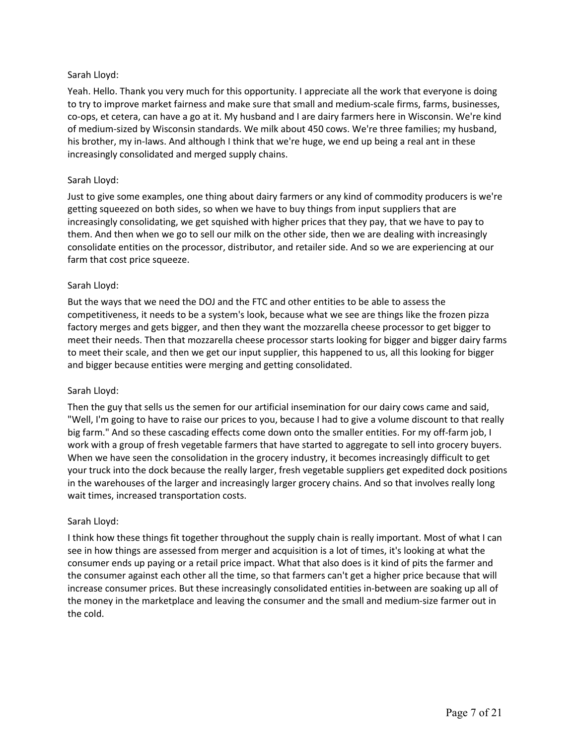# Sarah Lloyd:

 Yeah. Hello. Thank you very much for this opportunity. I appreciate all the work that everyone is doing to try to improve market fairness and make sure that small and medium-scale firms, farms, businesses, co-ops, et cetera, can have a go at it. My husband and I are dairy farmers here in Wisconsin. We're kind of medium-sized by Wisconsin standards. We milk about 450 cows. We're three families; my husband, his brother, my in-laws. And although I think that we're huge, we end up being a real ant in these increasingly consolidated and merged supply chains.

# Sarah Lloyd:

 Just to give some examples, one thing about dairy farmers or any kind of commodity producers is we're getting squeezed on both sides, so when we have to buy things from input suppliers that are increasingly consolidating, we get squished with higher prices that they pay, that we have to pay to them. And then when we go to sell our milk on the other side, then we are dealing with increasingly consolidate entities on the processor, distributor, and retailer side. And so we are experiencing at our farm that cost price squeeze.

# Sarah Lloyd:

 But the ways that we need the DOJ and the FTC and other entities to be able to assess the competitiveness, it needs to be a system's look, because what we see are things like the frozen pizza meet their needs. Then that mozzarella cheese processor starts looking for bigger and bigger dairy farms to meet their scale, and then we get our input supplier, this happened to us, all this looking for bigger and bigger because entities were merging and getting consolidated. factory merges and gets bigger, and then they want the mozzarella cheese processor to get bigger to

# Sarah Lloyd:

 Then the guy that sells us the semen for our artificial insemination for our dairy cows came and said, "Well, I'm going to have to raise our prices to you, because I had to give a volume discount to that really big farm." And so these cascading effects come down onto the smaller entities. For my off-farm job, I work with a group of fresh vegetable farmers that have started to aggregate to sell into grocery buyers. When we have seen the consolidation in the grocery industry, it becomes increasingly difficult to get your truck into the dock because the really larger, fresh vegetable suppliers get expedited dock positions wait times, increased transportation costs. in the warehouses of the larger and increasingly larger grocery chains. And so that involves really long

# Sarah Lloyd:

 see in how things are assessed from merger and acquisition is a lot of times, it's looking at what the consumer ends up paying or a retail price impact. What that also does is it kind of pits the farmer and the consumer against each other all the time, so that farmers can't get a higher price because that will increase consumer prices. But these increasingly consolidated entities in-between are soaking up all of the money in the marketplace and leaving the consumer and the small and medium-size farmer out in I think how these things fit together throughout the supply chain is really important. Most of what I can the cold.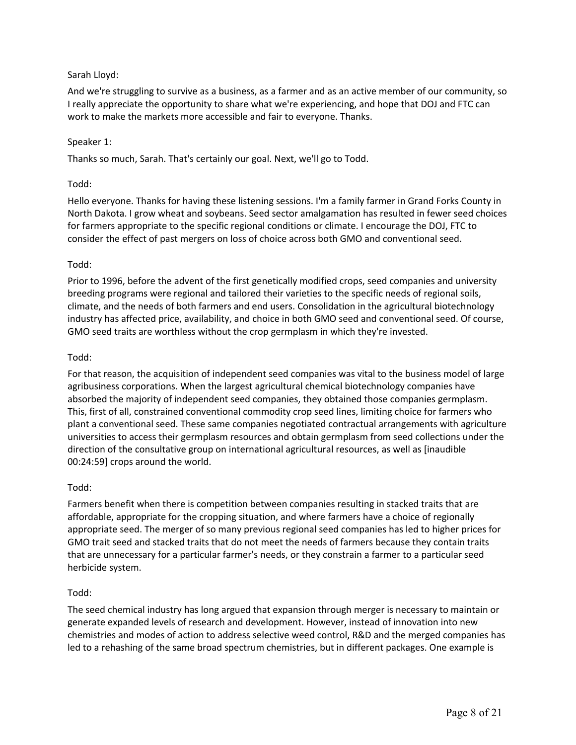# Sarah Lloyd:

 And we're struggling to survive as a business, as a farmer and as an active member of our community, so work to make the markets more accessible and fair to everyone. Thanks. I really appreciate the opportunity to share what we're experiencing, and hope that DOJ and FTC can

# Speaker 1:

Thanks so much, Sarah. That's certainly our goal. Next, we'll go to Todd.

# Todd:

 Hello everyone. Thanks for having these listening sessions. I'm a family farmer in Grand Forks County in North Dakota. I grow wheat and soybeans. Seed sector amalgamation has resulted in fewer seed choices consider the effect of past mergers on loss of choice across both GMO and conventional seed. for farmers appropriate to the specific regional conditions or climate. I encourage the DOJ, FTC to

# Todd:

 Prior to 1996, before the advent of the first genetically modified crops, seed companies and university breeding programs were regional and tailored their varieties to the specific needs of regional soils, climate, and the needs of both farmers and end users. Consolidation in the agricultural biotechnology GMO seed traits are worthless without the crop germplasm in which they're invested. industry has affected price, availability, and choice in both GMO seed and conventional seed. Of course,

# Todd:

 For that reason, the acquisition of independent seed companies was vital to the business model of large agribusiness corporations. When the largest agricultural chemical biotechnology companies have absorbed the majority of independent seed companies, they obtained those companies germplasm. This, first of all, constrained conventional commodity crop seed lines, limiting choice for farmers who plant a conventional seed. These same companies negotiated contractual arrangements with agriculture universities to access their germplasm resources and obtain germplasm from seed collections under the direction of the consultative group on international agricultural resources, as well as [inaudible 00:24:59] crops around the world.

# Todd:

 affordable, appropriate for the cropping situation, and where farmers have a choice of regionally appropriate seed. The merger of so many previous regional seed companies has led to higher prices for GMO trait seed and stacked traits that do not meet the needs of farmers because they contain traits Farmers benefit when there is competition between companies resulting in stacked traits that are that are unnecessary for a particular farmer's needs, or they constrain a farmer to a particular seed herbicide system.

# Todd:

 The seed chemical industry has long argued that expansion through merger is necessary to maintain or generate expanded levels of research and development. However, instead of innovation into new chemistries and modes of action to address selective weed control, R&D and the merged companies has led to a rehashing of the same broad spectrum chemistries, but in different packages. One example is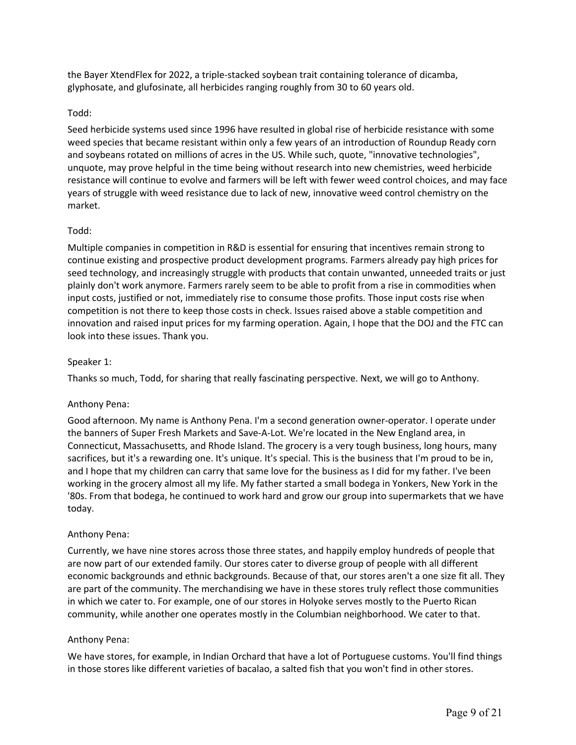the Bayer XtendFlex for 2022, a triple-stacked soybean trait containing tolerance of dicamba, glyphosate, and glufosinate, all herbicides ranging roughly from 30 to 60 years old.

#### Todd:

 Seed herbicide systems used since 1996 have resulted in global rise of herbicide resistance with some weed species that became resistant within only a few years of an introduction of Roundup Ready corn and soybeans rotated on millions of acres in the US. While such, quote, "innovative technologies", unquote, may prove helpful in the time being without research into new chemistries, weed herbicide resistance will continue to evolve and farmers will be left with fewer weed control choices, and may face years of struggle with weed resistance due to lack of new, innovative weed control chemistry on the market.

#### Todd:

 Multiple companies in competition in R&D is essential for ensuring that incentives remain strong to continue existing and prospective product development programs. Farmers already pay high prices for seed technology, and increasingly struggle with products that contain unwanted, unneeded traits or just plainly don't work anymore. Farmers rarely seem to be able to profit from a rise in commodities when competition is not there to keep those costs in check. Issues raised above a stable competition and input costs, justified or not, immediately rise to consume those profits. Those input costs rise when innovation and raised input prices for my farming operation. Again, I hope that the DOJ and the FTC can look into these issues. Thank you.

#### Speaker 1:

Thanks so much, Todd, for sharing that really fascinating perspective. Next, we will go to Anthony.

#### Anthony Pena:

 Good afternoon. My name is Anthony Pena. I'm a second generation owner-operator. I operate under Connecticut, Massachusetts, and Rhode Island. The grocery is a very tough business, long hours, many sacrifices, but it's a rewarding one. It's unique. It's special. This is the business that I'm proud to be in, and I hope that my children can carry that same love for the business as I did for my father. I've been working in the grocery almost all my life. My father started a small bodega in Yonkers, New York in the the banners of Super Fresh Markets and Save-A-Lot. We're located in the New England area, in '80s. From that bodega, he continued to work hard and grow our group into supermarkets that we have today.

#### Anthony Pena:

 Currently, we have nine stores across those three states, and happily employ hundreds of people that are now part of our extended family. Our stores cater to diverse group of people with all different economic backgrounds and ethnic backgrounds. Because of that, our stores aren't a one size fit all. They are part of the community. The merchandising we have in these stores truly reflect those communities community, while another one operates mostly in the Columbian neighborhood. We cater to that. in which we cater to. For example, one of our stores in Holyoke serves mostly to the Puerto Rican

#### Anthony Pena:

 We have stores, for example, in Indian Orchard that have a lot of Portuguese customs. You'll find things in those stores like different varieties of bacalao, a salted fish that you won't find in other stores.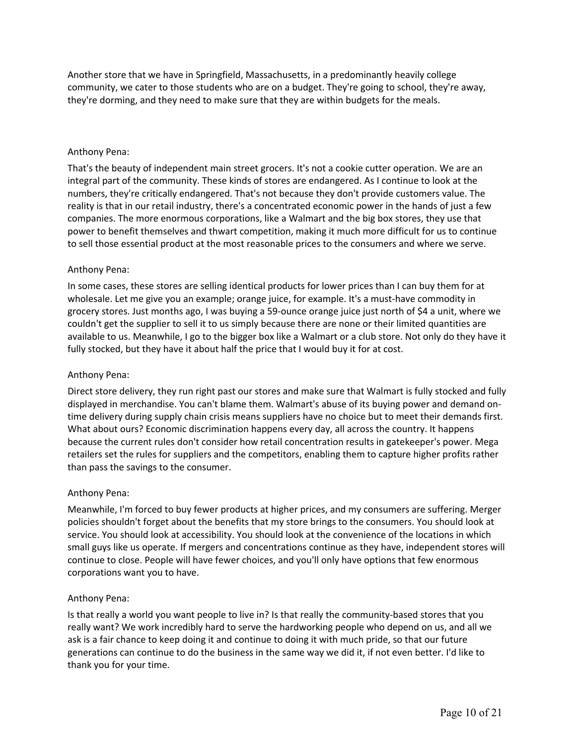Another store that we have in Springfield, Massachusetts, in a predominantly heavily college community, we cater to those students who are on a budget. They're going to school, they're away, they're dorming, and they need to make sure that they are within budgets for the meals.

#### Anthony Pena:

 That's the beauty of independent main street grocers. It's not a cookie cutter operation. We are an numbers, they're critically endangered. That's not because they don't provide customers value. The reality is that in our retail industry, there's a concentrated economic power in the hands of just a few companies. The more enormous corporations, like a Walmart and the big box stores, they use that to sell those essential product at the most reasonable prices to the consumers and where we serve. integral part of the community. These kinds of stores are endangered. As I continue to look at the power to benefit themselves and thwart competition, making it much more difficult for us to continue

#### Anthony Pena:

 In some cases, these stores are selling identical products for lower prices than I can buy them for at wholesale. Let me give you an example; orange juice, for example. It's a must-have commodity in grocery stores. Just months ago, I was buying a 59-ounce orange juice just north of \$4 a unit, where we couldn't get the supplier to sell it to us simply because there are none or their limited quantities are available to us. Meanwhile, I go to the bigger box like a Walmart or a club store. Not only do they have it fully stocked, but they have it about half the price that I would buy it for at cost.

#### Anthony Pena:

 Direct store delivery, they run right past our stores and make sure that Walmart is fully stocked and fully displayed in merchandise. You can't blame them. Walmart's abuse of its buying power and demand on- time delivery during supply chain crisis means suppliers have no choice but to meet their demands first. What about ours? Economic discrimination happens every day, all across the country. It happens because the current rules don't consider how retail concentration results in gatekeeper's power. Mega retailers set the rules for suppliers and the competitors, enabling them to capture higher profits rather than pass the savings to the consumer.

#### Anthony Pena:

 Meanwhile, I'm forced to buy fewer products at higher prices, and my consumers are suffering. Merger policies shouldn't forget about the benefits that my store brings to the consumers. You should look at service. You should look at accessibility. You should look at the convenience of the locations in which small guys like us operate. If mergers and concentrations continue as they have, independent stores will continue to close. People will have fewer choices, and you'll only have options that few enormous corporations want you to have.

#### Anthony Pena:

 really want? We work incredibly hard to serve the hardworking people who depend on us, and all we generations can continue to do the business in the same way we did it, if not even better. I'd like to Is that really a world you want people to live in? Is that really the community-based stores that you ask is a fair chance to keep doing it and continue to doing it with much pride, so that our future thank you for your time.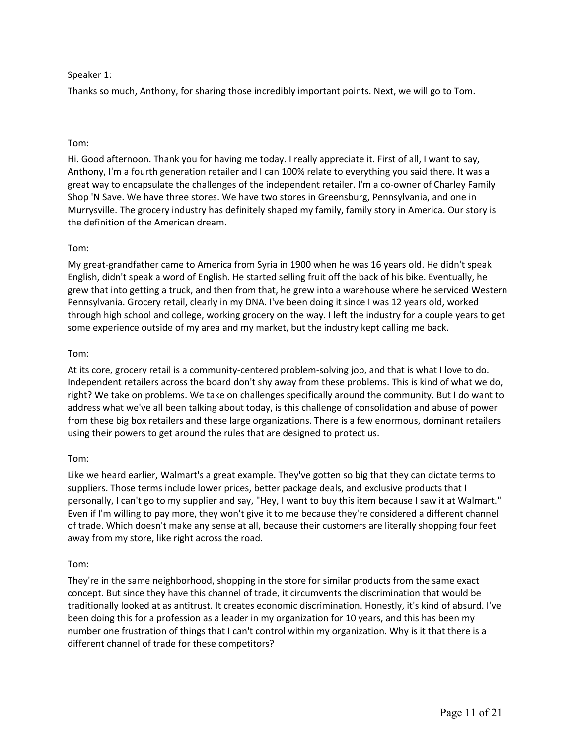# Speaker 1:

Thanks so much, Anthony, for sharing those incredibly important points. Next, we will go to Tom.

# Tom:

 Hi. Good afternoon. Thank you for having me today. I really appreciate it. First of all, I want to say, Anthony, I'm a fourth generation retailer and I can 100% relate to everything you said there. It was a great way to encapsulate the challenges of the independent retailer. I'm a co-owner of Charley Family Shop 'N Save. We have three stores. We have two stores in Greensburg, Pennsylvania, and one in Murrysville. The grocery industry has definitely shaped my family, family story in America. Our story is the definition of the American dream.

# Tom:

 My great-grandfather came to America from Syria in 1900 when he was 16 years old. He didn't speak English, didn't speak a word of English. He started selling fruit off the back of his bike. Eventually, he grew that into getting a truck, and then from that, he grew into a warehouse where he serviced Western Pennsylvania. Grocery retail, clearly in my DNA. I've been doing it since I was 12 years old, worked through high school and college, working grocery on the way. I left the industry for a couple years to get some experience outside of my area and my market, but the industry kept calling me back.

# Tom:

 At its core, grocery retail is a community-centered problem-solving job, and that is what I love to do. right? We take on problems. We take on challenges specifically around the community. But I do want to address what we've all been talking about today, is this challenge of consolidation and abuse of power Independent retailers across the board don't shy away from these problems. This is kind of what we do, from these big box retailers and these large organizations. There is a few enormous, dominant retailers using their powers to get around the rules that are designed to protect us.

# Tom:

 suppliers. Those terms include lower prices, better package deals, and exclusive products that I personally, I can't go to my supplier and say, "Hey, I want to buy this item because I saw it at Walmart." Even if I'm willing to pay more, they won't give it to me because they're considered a different channel of trade. Which doesn't make any sense at all, because their customers are literally shopping four feet Like we heard earlier, Walmart's a great example. They've gotten so big that they can dictate terms to away from my store, like right across the road.

# Tom:

 They're in the same neighborhood, shopping in the store for similar products from the same exact concept. But since they have this channel of trade, it circumvents the discrimination that would be traditionally looked at as antitrust. It creates economic discrimination. Honestly, it's kind of absurd. I've number one frustration of things that I can't control within my organization. Why is it that there is a different channel of trade for these competitors? been doing this for a profession as a leader in my organization for 10 years, and this has been my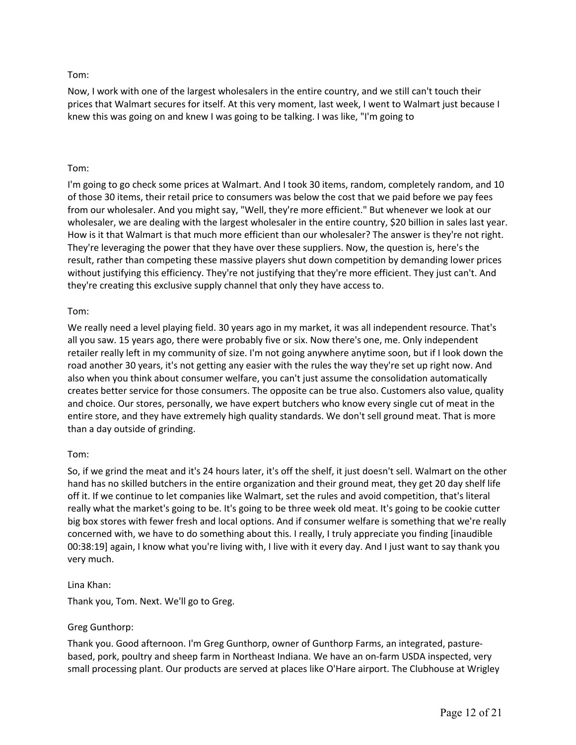# Tom:

 Now, I work with one of the largest wholesalers in the entire country, and we still can't touch their prices that Walmart secures for itself. At this very moment, last week, I went to Walmart just because I knew this was going on and knew I was going to be talking. I was like, "I'm going to

# Tom:

 I'm going to go check some prices at Walmart. And I took 30 items, random, completely random, and 10 of those 30 items, their retail price to consumers was below the cost that we paid before we pay fees wholesaler, we are dealing with the largest wholesaler in the entire country, \$20 billion in sales last year. How is it that Walmart is that much more efficient than our wholesaler? The answer is they're not right. They're leveraging the power that they have over these suppliers. Now, the question is, here's the result, rather than competing these massive players shut down competition by demanding lower prices without justifying this efficiency. They're not justifying that they're more efficient. They just can't. And they're creating this exclusive supply channel that only they have access to. from our wholesaler. And you might say, "Well, they're more efficient." But whenever we look at our

# Tom:

 We really need a level playing field. 30 years ago in my market, it was all independent resource. That's all you saw. 15 years ago, there were probably five or six. Now there's one, me. Only independent retailer really left in my community of size. I'm not going anywhere anytime soon, but if I look down the road another 30 years, it's not getting any easier with the rules the way they're set up right now. And also when you think about consumer welfare, you can't just assume the consolidation automatically creates better service for those consumers. The opposite can be true also. Customers also value, quality and choice. Our stores, personally, we have expert butchers who know every single cut of meat in the entire store, and they have extremely high quality standards. We don't sell ground meat. That is more than a day outside of grinding.

# Tom:

 So, if we grind the meat and it's 24 hours later, it's off the shelf, it just doesn't sell. Walmart on the other hand has no skilled butchers in the entire organization and their ground meat, they get 20 day shelf life off it. If we continue to let companies like Walmart, set the rules and avoid competition, that's literal really what the market's going to be. It's going to be three week old meat. It's going to be cookie cutter big box stores with fewer fresh and local options. And if consumer welfare is something that we're really concerned with, we have to do something about this. I really, I truly appreciate you finding [inaudible 00:38:19] again, I know what you're living with, I live with it every day. And I just want to say thank you very much.

# Lina Khan:

Thank you, Tom. Next. We'll go to Greg.

# Greg Gunthorp:

 Thank you. Good afternoon. I'm Greg Gunthorp, owner of Gunthorp Farms, an integrated, pasture- based, pork, poultry and sheep farm in Northeast Indiana. We have an on-farm USDA inspected, very small processing plant. Our products are served at places like O'Hare airport. The Clubhouse at Wrigley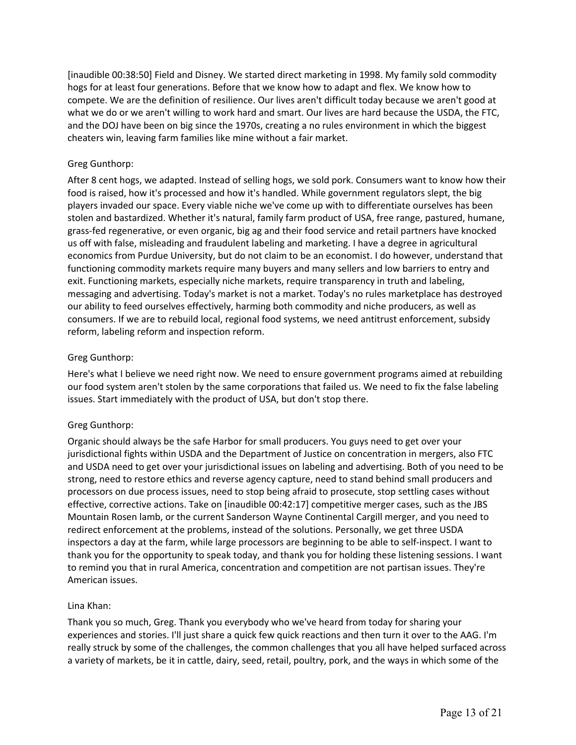[inaudible 00:38:50] Field and Disney. We started direct marketing in 1998. My family sold commodity hogs for at least four generations. Before that we know how to adapt and flex. We know how to compete. We are the definition of resilience. Our lives aren't difficult today because we aren't good at what we do or we aren't willing to work hard and smart. Our lives are hard because the USDA, the FTC, and the DOJ have been on big since the 1970s, creating a no rules environment in which the biggest cheaters win, leaving farm families like mine without a fair market.

# Greg Gunthorp:

 After 8 cent hogs, we adapted. Instead of selling hogs, we sold pork. Consumers want to know how their food is raised, how it's processed and how it's handled. While government regulators slept, the big players invaded our space. Every viable niche we've come up with to differentiate ourselves has been stolen and bastardized. Whether it's natural, family farm product of USA, free range, pastured, humane, us off with false, misleading and fraudulent labeling and marketing. I have a degree in agricultural economics from Purdue University, but do not claim to be an economist. I do however, understand that exit. Functioning markets, especially niche markets, require transparency in truth and labeling, consumers. If we are to rebuild local, regional food systems, we need antitrust enforcement, subsidy grass-fed regenerative, or even organic, big ag and their food service and retail partners have knocked functioning commodity markets require many buyers and many sellers and low barriers to entry and messaging and advertising. Today's market is not a market. Today's no rules marketplace has destroyed our ability to feed ourselves effectively, harming both commodity and niche producers, as well as reform, labeling reform and inspection reform.

# Greg Gunthorp:

 Here's what I believe we need right now. We need to ensure government programs aimed at rebuilding our food system aren't stolen by the same corporations that failed us. We need to fix the false labeling issues. Start immediately with the product of USA, but don't stop there.

# Greg Gunthorp:

 Organic should always be the safe Harbor for small producers. You guys need to get over your jurisdictional fights within USDA and the Department of Justice on concentration in mergers, also FTC and USDA need to get over your jurisdictional issues on labeling and advertising. Both of you need to be strong, need to restore ethics and reverse agency capture, need to stand behind small producers and effective, corrective actions. Take on [inaudible 00:42:17] competitive merger cases, such as the JBS Mountain Rosen lamb, or the current Sanderson Wayne Continental Cargill merger, and you need to redirect enforcement at the problems, instead of the solutions. Personally, we get three USDA thank you for the opportunity to speak today, and thank you for holding these listening sessions. I want to remind you that in rural America, concentration and competition are not partisan issues. They're processors on due process issues, need to stop being afraid to prosecute, stop settling cases without inspectors a day at the farm, while large processors are beginning to be able to self-inspect. I want to American issues.

# Lina Khan:

 Thank you so much, Greg. Thank you everybody who we've heard from today for sharing your experiences and stories. I'll just share a quick few quick reactions and then turn it over to the AAG. I'm really struck by some of the challenges, the common challenges that you all have helped surfaced across a variety of markets, be it in cattle, dairy, seed, retail, poultry, pork, and the ways in which some of the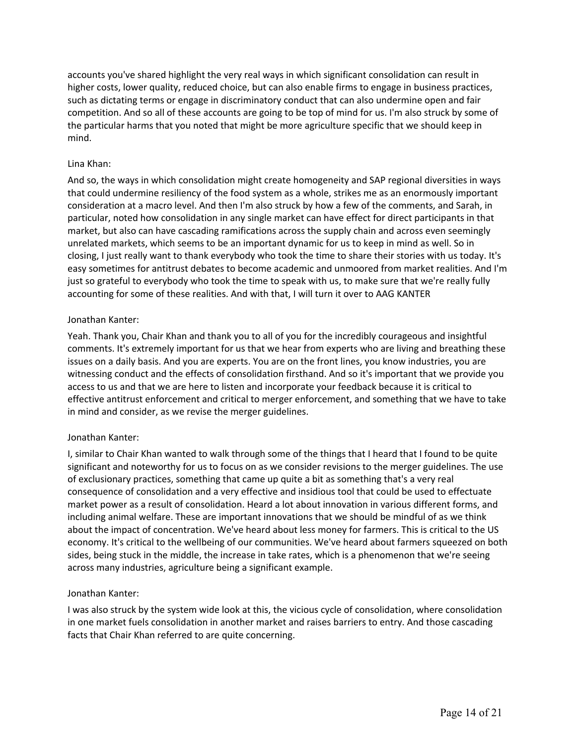accounts you've shared highlight the very real ways in which significant consolidation can result in competition. And so all of these accounts are going to be top of mind for us. I'm also struck by some of the particular harms that you noted that might be more agriculture specific that we should keep in higher costs, lower quality, reduced choice, but can also enable firms to engage in business practices, such as dictating terms or engage in discriminatory conduct that can also undermine open and fair mind.

#### Lina Khan:

 And so, the ways in which consolidation might create homogeneity and SAP regional diversities in ways that could undermine resiliency of the food system as a whole, strikes me as an enormously important consideration at a macro level. And then I'm also struck by how a few of the comments, and Sarah, in particular, noted how consolidation in any single market can have effect for direct participants in that market, but also can have cascading ramifications across the supply chain and across even seemingly closing, I just really want to thank everybody who took the time to share their stories with us today. It's easy sometimes for antitrust debates to become academic and unmoored from market realities. And I'm just so grateful to everybody who took the time to speak with us, to make sure that we're really fully accounting for some of these realities. And with that, I will turn it over to AAG KANTER unrelated markets, which seems to be an important dynamic for us to keep in mind as well. So in

#### Jonathan Kanter:

 Yeah. Thank you, Chair Khan and thank you to all of you for the incredibly courageous and insightful witnessing conduct and the effects of consolidation firsthand. And so it's important that we provide you access to us and that we are here to listen and incorporate your feedback because it is critical to effective antitrust enforcement and critical to merger enforcement, and something that we have to take in mind and consider, as we revise the merger guidelines. comments. It's extremely important for us that we hear from experts who are living and breathing these issues on a daily basis. And you are experts. You are on the front lines, you know industries, you are

#### Jonathan Kanter:

 of exclusionary practices, something that came up quite a bit as something that's a very real consequence of consolidation and a very effective and insidious tool that could be used to effectuate market power as a result of consolidation. Heard a lot about innovation in various different forms, and about the impact of concentration. We've heard about less money for farmers. This is critical to the US economy. It's critical to the wellbeing of our communities. We've heard about farmers squeezed on both sides, being stuck in the middle, the increase in take rates, which is a phenomenon that we're seeing I, similar to Chair Khan wanted to walk through some of the things that I heard that I found to be quite significant and noteworthy for us to focus on as we consider revisions to the merger guidelines. The use including animal welfare. These are important innovations that we should be mindful of as we think across many industries, agriculture being a significant example.

#### Jonathan Kanter:

I was also struck by the system wide look at this, the vicious cycle of consolidation, where consolidation in one market fuels consolidation in another market and raises barriers to entry. And those cascading facts that Chair Khan referred to are quite concerning.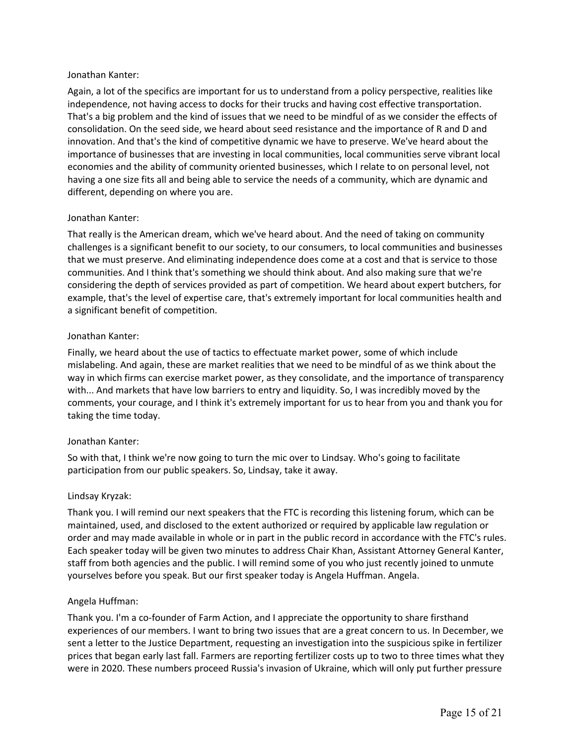# Jonathan Kanter:

 Again, a lot of the specifics are important for us to understand from a policy perspective, realities like That's a big problem and the kind of issues that we need to be mindful of as we consider the effects of consolidation. On the seed side, we heard about seed resistance and the importance of R and D and innovation. And that's the kind of competitive dynamic we have to preserve. We've heard about the economies and the ability of community oriented businesses, which I relate to on personal level, not having a one size fits all and being able to service the needs of a community, which are dynamic and different, depending on where you are. independence, not having access to docks for their trucks and having cost effective transportation. importance of businesses that are investing in local communities, local communities serve vibrant local

# Jonathan Kanter:

 That really is the American dream, which we've heard about. And the need of taking on community that we must preserve. And eliminating independence does come at a cost and that is service to those communities. And I think that's something we should think about. And also making sure that we're considering the depth of services provided as part of competition. We heard about expert butchers, for example, that's the level of expertise care, that's extremely important for local communities health and challenges is a significant benefit to our society, to our consumers, to local communities and businesses a significant benefit of competition.

#### Jonathan Kanter:

 Finally, we heard about the use of tactics to effectuate market power, some of which include mislabeling. And again, these are market realities that we need to be mindful of as we think about the way in which firms can exercise market power, as they consolidate, and the importance of transparency with... And markets that have low barriers to entry and liquidity. So, I was incredibly moved by the taking the time today. comments, your courage, and I think it's extremely important for us to hear from you and thank you for

# Jonathan Kanter:

 So with that, I think we're now going to turn the mic over to Lindsay. Who's going to facilitate participation from our public speakers. So, Lindsay, take it away.

#### Lindsay Kryzak:

 Thank you. I will remind our next speakers that the FTC is recording this listening forum, which can be maintained, used, and disclosed to the extent authorized or required by applicable law regulation or order and may made available in whole or in part in the public record in accordance with the FTC's rules. Each speaker today will be given two minutes to address Chair Khan, Assistant Attorney General Kanter, staff from both agencies and the public. I will remind some of you who just recently joined to unmute yourselves before you speak. But our first speaker today is Angela Huffman. Angela.

#### Angela Huffman:

 Thank you. I'm a co-founder of Farm Action, and I appreciate the opportunity to share firsthand experiences of our members. I want to bring two issues that are a great concern to us. In December, we sent a letter to the Justice Department, requesting an investigation into the suspicious spike in fertilizer prices that began early last fall. Farmers are reporting fertilizer costs up to two to three times what they were in 2020. These numbers proceed Russia's invasion of Ukraine, which will only put further pressure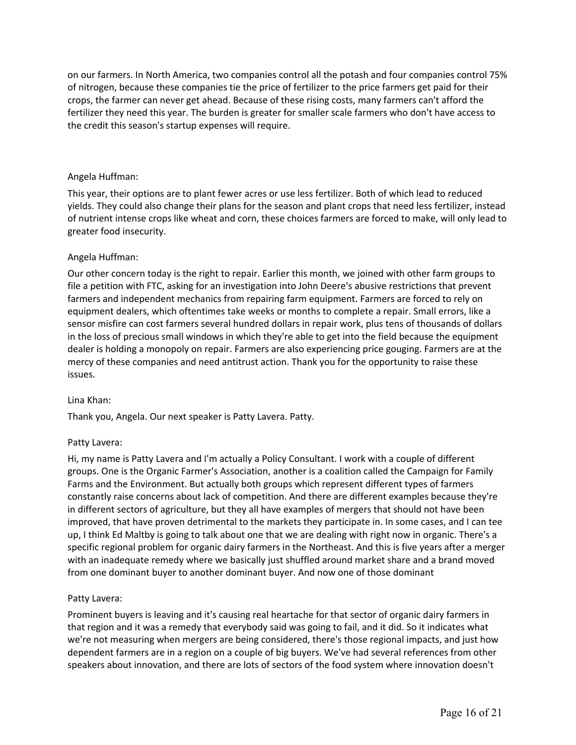on our farmers. In North America, two companies control all the potash and four companies control 75% of nitrogen, because these companies tie the price of fertilizer to the price farmers get paid for their crops, the farmer can never get ahead. Because of these rising costs, many farmers can't afford the fertilizer they need this year. The burden is greater for smaller scale farmers who don't have access to the credit this season's startup expenses will require.

#### Angela Huffman:

 This year, their options are to plant fewer acres or use less fertilizer. Both of which lead to reduced yields. They could also change their plans for the season and plant crops that need less fertilizer, instead of nutrient intense crops like wheat and corn, these choices farmers are forced to make, will only lead to greater food insecurity.

# Angela Huffman:

 Our other concern today is the right to repair. Earlier this month, we joined with other farm groups to farmers and independent mechanics from repairing farm equipment. Farmers are forced to rely on equipment dealers, which oftentimes take weeks or months to complete a repair. Small errors, like a in the loss of precious small windows in which they're able to get into the field because the equipment dealer is holding a monopoly on repair. Farmers are also experiencing price gouging. Farmers are at the mercy of these companies and need antitrust action. Thank you for the opportunity to raise these file a petition with FTC, asking for an investigation into John Deere's abusive restrictions that prevent sensor misfire can cost farmers several hundred dollars in repair work, plus tens of thousands of dollars issues.

#### Lina Khan:

Thank you, Angela. Our next speaker is Patty Lavera. Patty.

# Patty Lavera:

 Hi, my name is Patty Lavera and I'm actually a Policy Consultant. I work with a couple of different groups. One is the Organic Farmer's Association, another is a coalition called the Campaign for Family Farms and the Environment. But actually both groups which represent different types of farmers constantly raise concerns about lack of competition. And there are different examples because they're up, I think Ed Maltby is going to talk about one that we are dealing with right now in organic. There's a specific regional problem for organic dairy farmers in the Northeast. And this is five years after a merger with an inadequate remedy where we basically just shuffled around market share and a brand moved in different sectors of agriculture, but they all have examples of mergers that should not have been improved, that have proven detrimental to the markets they participate in. In some cases, and I can tee from one dominant buyer to another dominant buyer. And now one of those dominant

#### Patty Lavera:

 Prominent buyers is leaving and it's causing real heartache for that sector of organic dairy farmers in we're not measuring when mergers are being considered, there's those regional impacts, and just how dependent farmers are in a region on a couple of big buyers. We've had several references from other speakers about innovation, and there are lots of sectors of the food system where innovation doesn't that region and it was a remedy that everybody said was going to fail, and it did. So it indicates what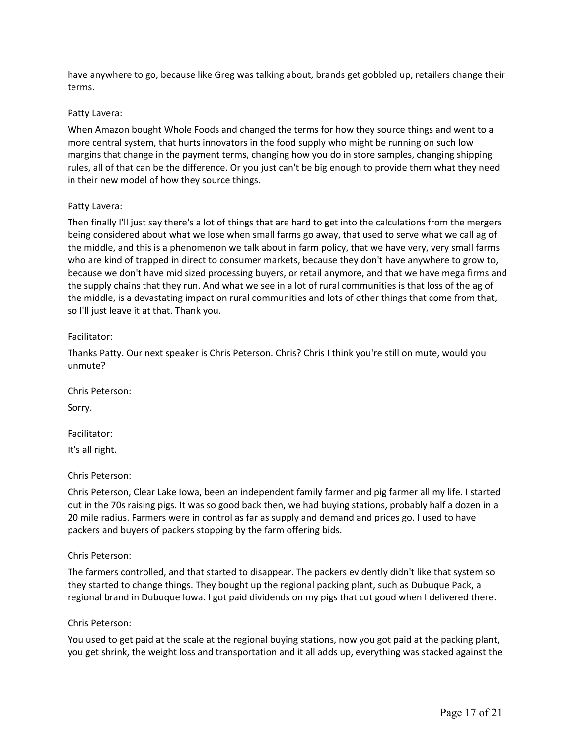have anywhere to go, because like Greg was talking about, brands get gobbled up, retailers change their terms.

#### Patty Lavera:

 When Amazon bought Whole Foods and changed the terms for how they source things and went to a more central system, that hurts innovators in the food supply who might be running on such low margins that change in the payment terms, changing how you do in store samples, changing shipping rules, all of that can be the difference. Or you just can't be big enough to provide them what they need in their new model of how they source things.

#### Patty Lavera:

 Then finally I'll just say there's a lot of things that are hard to get into the calculations from the mergers being considered about what we lose when small farms go away, that used to serve what we call ag of the middle, and this is a phenomenon we talk about in farm policy, that we have very, very small farms who are kind of trapped in direct to consumer markets, because they don't have anywhere to grow to, because we don't have mid sized processing buyers, or retail anymore, and that we have mega firms and the supply chains that they run. And what we see in a lot of rural communities is that loss of the ag of the middle, is a devastating impact on rural communities and lots of other things that come from that, so I'll just leave it at that. Thank you.

# Facilitator:

 Thanks Patty. Our next speaker is Chris Peterson. Chris? Chris I think you're still on mute, would you unmute?

Chris Peterson:

Sorry.

Facilitator:

It's all right.

# Chris Peterson:

 Chris Peterson, Clear Lake Iowa, been an independent family farmer and pig farmer all my life. I started out in the 70s raising pigs. It was so good back then, we had buying stations, probably half a dozen in a 20 mile radius. Farmers were in control as far as supply and demand and prices go. I used to have packers and buyers of packers stopping by the farm offering bids.

#### Chris Peterson:

 The farmers controlled, and that started to disappear. The packers evidently didn't like that system so they started to change things. They bought up the regional packing plant, such as Dubuque Pack, a regional brand in Dubuque Iowa. I got paid dividends on my pigs that cut good when I delivered there.

#### Chris Peterson:

 You used to get paid at the scale at the regional buying stations, now you got paid at the packing plant, you get shrink, the weight loss and transportation and it all adds up, everything was stacked against the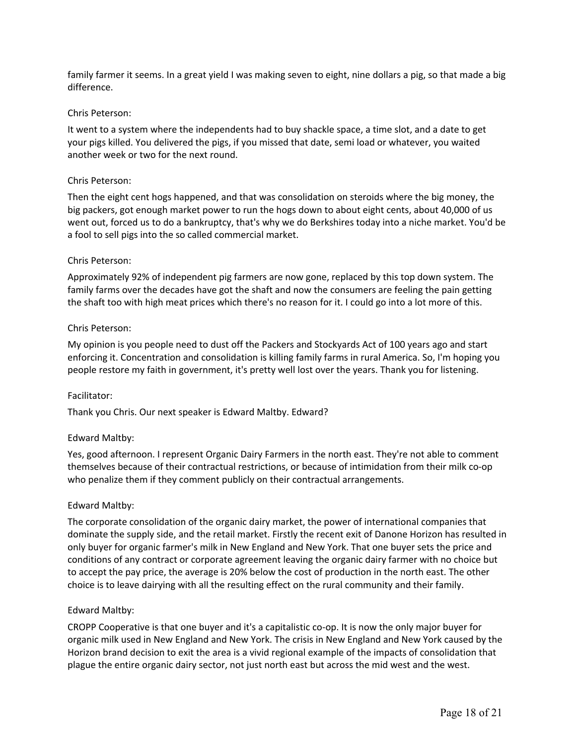family farmer it seems. In a great yield I was making seven to eight, nine dollars a pig, so that made a big difference.

#### Chris Peterson:

 your pigs killed. You delivered the pigs, if you missed that date, semi load or whatever, you waited It went to a system where the independents had to buy shackle space, a time slot, and a date to get another week or two for the next round.

#### Chris Peterson:

 Then the eight cent hogs happened, and that was consolidation on steroids where the big money, the went out, forced us to do a bankruptcy, that's why we do Berkshires today into a niche market. You'd be a fool to sell pigs into the so called commercial market. big packers, got enough market power to run the hogs down to about eight cents, about 40,000 of us

#### Chris Peterson:

 Approximately 92% of independent pig farmers are now gone, replaced by this top down system. The the shaft too with high meat prices which there's no reason for it. I could go into a lot more of this. family farms over the decades have got the shaft and now the consumers are feeling the pain getting

#### Chris Peterson:

 My opinion is you people need to dust off the Packers and Stockyards Act of 100 years ago and start enforcing it. Concentration and consolidation is killing family farms in rural America. So, I'm hoping you people restore my faith in government, it's pretty well lost over the years. Thank you for listening.

#### Facilitator:

Thank you Chris. Our next speaker is Edward Maltby. Edward?

# Edward Maltby:

 Yes, good afternoon. I represent Organic Dairy Farmers in the north east. They're not able to comment themselves because of their contractual restrictions, or because of intimidation from their milk co-op who penalize them if they comment publicly on their contractual arrangements.

#### Edward Maltby:

 The corporate consolidation of the organic dairy market, the power of international companies that dominate the supply side, and the retail market. Firstly the recent exit of Danone Horizon has resulted in only buyer for organic farmer's milk in New England and New York. That one buyer sets the price and to accept the pay price, the average is 20% below the cost of production in the north east. The other choice is to leave dairying with all the resulting effect on the rural community and their family. conditions of any contract or corporate agreement leaving the organic dairy farmer with no choice but

#### Edward Maltby:

 CROPP Cooperative is that one buyer and it's a capitalistic co-op. It is now the only major buyer for organic milk used in New England and New York. The crisis in New England and New York caused by the Horizon brand decision to exit the area is a vivid regional example of the impacts of consolidation that plague the entire organic dairy sector, not just north east but across the mid west and the west.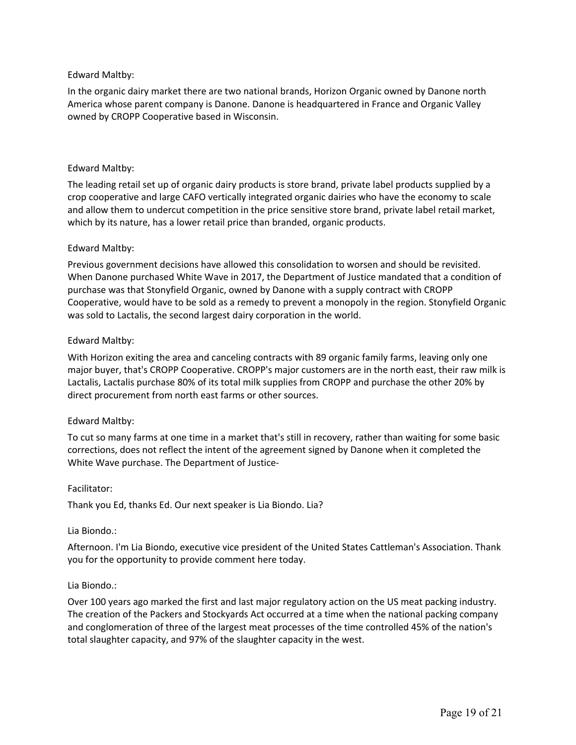# Edward Maltby:

 America whose parent company is Danone. Danone is headquartered in France and Organic Valley owned by CROPP Cooperative based in Wisconsin. In the organic dairy market there are two national brands, Horizon Organic owned by Danone north

# Edward Maltby:

 The leading retail set up of organic dairy products is store brand, private label products supplied by a crop cooperative and large CAFO vertically integrated organic dairies who have the economy to scale and allow them to undercut competition in the price sensitive store brand, private label retail market, which by its nature, has a lower retail price than branded, organic products.

# Edward Maltby:

 Previous government decisions have allowed this consolidation to worsen and should be revisited. When Danone purchased White Wave in 2017, the Department of Justice mandated that a condition of purchase was that Stonyfield Organic, owned by Danone with a supply contract with CROPP Cooperative, would have to be sold as a remedy to prevent a monopoly in the region. Stonyfield Organic was sold to Lactalis, the second largest dairy corporation in the world.

#### Edward Maltby:

 With Horizon exiting the area and canceling contracts with 89 organic family farms, leaving only one major buyer, that's CROPP Cooperative. CROPP's major customers are in the north east, their raw milk is Lactalis, Lactalis purchase 80% of its total milk supplies from CROPP and purchase the other 20% by direct procurement from north east farms or other sources.

# Edward Maltby:

 To cut so many farms at one time in a market that's still in recovery, rather than waiting for some basic corrections, does not reflect the intent of the agreement signed by Danone when it completed the White Wave purchase. The Department of Justice-

#### Facilitator:

Thank you Ed, thanks Ed. Our next speaker is Lia Biondo. Lia?

# Lia Biondo.:

 Afternoon. I'm Lia Biondo, executive vice president of the United States Cattleman's Association. Thank you for the opportunity to provide comment here today.

#### Lia Biondo.:

 Over 100 years ago marked the first and last major regulatory action on the US meat packing industry. The creation of the Packers and Stockyards Act occurred at a time when the national packing company and conglomeration of three of the largest meat processes of the time controlled 45% of the nation's total slaughter capacity, and 97% of the slaughter capacity in the west.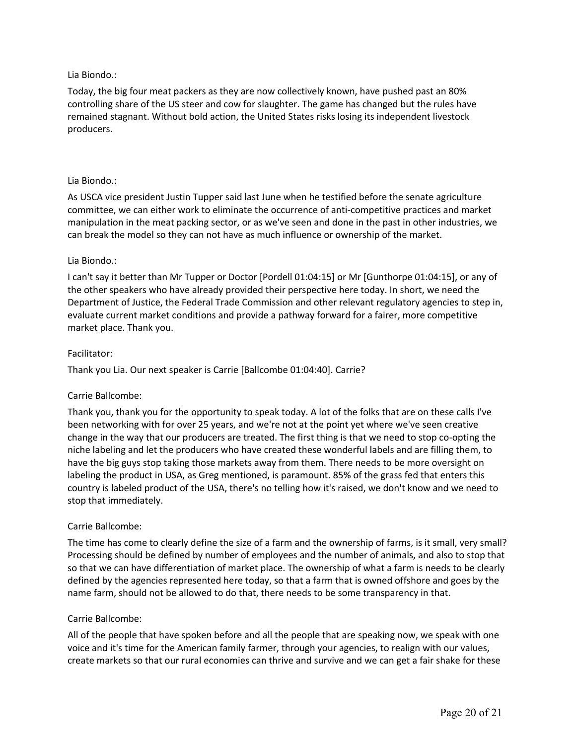# Lia Biondo.:

 Today, the big four meat packers as they are now collectively known, have pushed past an 80% controlling share of the US steer and cow for slaughter. The game has changed but the rules have remained stagnant. Without bold action, the United States risks losing its independent livestock producers.

#### Lia Biondo.:

 As USCA vice president Justin Tupper said last June when he testified before the senate agriculture committee, we can either work to eliminate the occurrence of anti-competitive practices and market manipulation in the meat packing sector, or as we've seen and done in the past in other industries, we can break the model so they can not have as much influence or ownership of the market.

#### Lia Biondo.:

 the other speakers who have already provided their perspective here today. In short, we need the Department of Justice, the Federal Trade Commission and other relevant regulatory agencies to step in, evaluate current market conditions and provide a pathway forward for a fairer, more competitive market place. Thank you. I can't say it better than Mr Tupper or Doctor [Pordell 01:04:15] or Mr [Gunthorpe 01:04:15], or any of

#### Facilitator:

Thank you Lia. Our next speaker is Carrie [Ballcombe 01:04:40]. Carrie?

# Carrie Ballcombe:

 Thank you, thank you for the opportunity to speak today. A lot of the folks that are on these calls I've been networking with for over 25 years, and we're not at the point yet where we've seen creative change in the way that our producers are treated. The first thing is that we need to stop co-opting the niche labeling and let the producers who have created these wonderful labels and are filling them, to have the big guys stop taking those markets away from them. There needs to be more oversight on country is labeled product of the USA, there's no telling how it's raised, we don't know and we need to labeling the product in USA, as Greg mentioned, is paramount. 85% of the grass fed that enters this stop that immediately.

# Carrie Ballcombe:

 The time has come to clearly define the size of a farm and the ownership of farms, is it small, very small? Processing should be defined by number of employees and the number of animals, and also to stop that so that we can have differentiation of market place. The ownership of what a farm is needs to be clearly defined by the agencies represented here today, so that a farm that is owned offshore and goes by the name farm, should not be allowed to do that, there needs to be some transparency in that.

#### Carrie Ballcombe:

 All of the people that have spoken before and all the people that are speaking now, we speak with one voice and it's time for the American family farmer, through your agencies, to realign with our values, create markets so that our rural economies can thrive and survive and we can get a fair shake for these